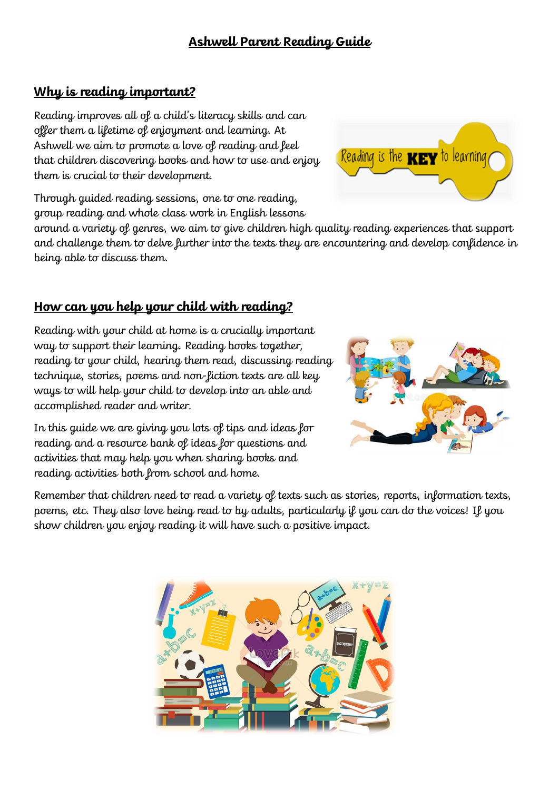# **Ashwell Parent Reading Guide**

# **Why is reading important?**

Reading improves all of a child's literacy skills and can offer them a lifetime of enjoyment and learning. At Ashwell we aim to promote a love of reading and feel that children discovering books and how to use and enjoy them is crucial to their development.

Through guided reading sessions, one to one reading, group reading and whole class work in English lessons

around a variety of genres, we aim to give children high quality reading experiences that support and challenge them to delve further into the texts they are encountering and develop confidence in being able to discuss them.

# **How can you help your child with reading?**

Reading with your child at home is a crucially important way to support their learning. Reading books together, reading to your child, hearing them read, discussing reading technique, stories, poems and non-fiction texts are all key ways to will help your child to develop into an able and accomplished reader and writer.

In this guide we are giving you lots of tips and ideas for reading and a resource bank of ideas for questions and activities that may help you when sharing books and reading activities both from school and home.

Remember that children need to read a variety of texts such as stories, reports, information texts, poems, etc. They also love being read to by adults, particularly if you can do the voices! If you show children you enjoy reading it will have such a positive impact.





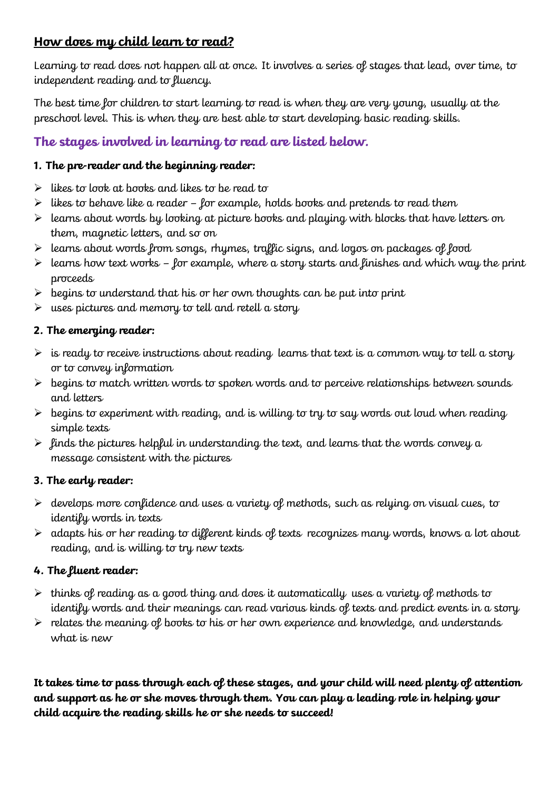# **How does my child learn to read?**

Learning to read does not happen all at once. It involves a series of stages that lead, over time, to independent reading and to fluency.

The best time for children to start learning to read is when they are very young, usually at the preschool level. This is when they are best able to start developing basic reading skills.

# **The stages involved in learning to read are listed below.**

# **1. The pre-reader and the beginning reader:**

- $\triangleright$  likes to look at books and likes to be read to
- $\triangleright$  likes to behave like a reader for example, holds books and pretends to read them
- $\triangleright$  learns about words by looking at picture books and playing with blocks that have letters on them, magnetic letters, and so on
- $\triangleright$  learns about words from songs, rhymes, traffic signs, and logos on packages of food
- $\triangleright$  learns how text works for example, where a story starts and finishes and which way the print proceeds
- $\triangleright$  begins to understand that his or her own thoughts can be put into print
- $\triangleright$  uses pictures and memory to tell and retell a story

# **2. The emerging reader:**

- $\triangleright$  is ready to receive instructions about reading learns that text is a common way to tell a story or to convey information
- $\triangleright$  begins to match written words to spoken words and to perceive relationships between sounds and letters
- $\triangleright$  begins to experiment with reading, and is willing to try to say words out loud when reading simple texts
- $\triangleright$  finds the pictures helpful in understanding the text, and learns that the words convey a message consistent with the pictures

# **3. The early reader:**

- $\triangleright$  develops more confidence and uses a variety of methods, such as relying on visual cues, to identify words in texts
- $\triangleright$  adapts his or her reading to different kinds of texts recognizes many words, knows a lot about reading, and is willing to try new texts

# **4. The fluent reader:**

- $\triangleright$  thinks of reading as a good thing and does it automatically uses a variety of methods to identify words and their meanings can read various kinds of texts and predict events in a story
- $\triangleright$  relates the meaning of books to his or her own experience and knowledge, and understands what is new

**It takes time to pass through each of these stages, and your child will need plenty of attention and support as he or she moves through them. You can play a leading role in helping your child acquire the reading skills he or she needs to succeed!**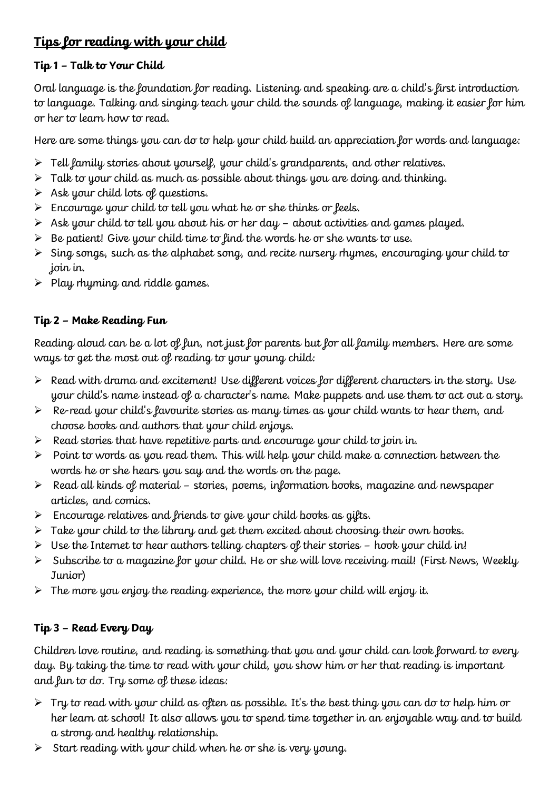# **Tips for reading with your child**

# **Tip 1 – Talk to Your Child**

Oral language is the foundation for reading. Listening and speaking are a child's first introduction to language. Talking and singing teach your child the sounds of language, making it easier for him or her to learn how to read.

Here are some things you can do to help your child build an appreciation for words and language:

- $\triangleright$  Tell family stories about yourself, your child's grandparents, and other relatives.
- $\triangleright$  Talk to your child as much as possible about things you are doing and thinking.
- $\triangleright$  Ask your child lots of questions.
- $\triangleright$  Encourage your child to tell you what he or she thinks or feels.
- $\triangleright$  Ask your child to tell you about his or her day about activities and games played.
- $\triangleright$  Be patient! Give your child time to find the words he or she wants to use.
- $\triangleright$  Sing songs, such as the alphabet song, and recite nursery rhymes, encouraging your child to join in.
- $\triangleright$  Play rhyming and riddle games.

# **Tip 2 – Make Reading Fun**

Reading aloud can be a lot of fun, not just for parents but for all family members. Here are some ways to get the most out of reading to your young child:

- $\triangleright$  Read with drama and excitement! Use different voices for different characters in the story. Use your child's name instead of a character's name. Make puppets and use them to act out a story.
- $\triangleright$  Re-read your child's favourite stories as many times as your child wants to hear them, and choose books and authors that your child enjoys.
- $\triangleright$  Read stories that have repetitive parts and encourage your child to join in.
- $\triangleright$  Point to words as you read them. This will help your child make a connection between the words he or she hears you say and the words on the page.
- $\triangleright$  Read all kinds of material stories, poems, information books, magazine and newspaper articles, and comics.
- $\triangleright$  Encourage relatives and friends to give your child books as gifts.
- $\triangleright$  Take your child to the library and get them excited about choosing their own books.
- $\triangleright$  Use the Internet to hear authors telling chapters of their stories hook your child in!
- $\triangleright$  Subscribe to a magazine for your child. He or she will love receiving mail! (First News, Weekly Junior)
- $\triangleright$  The more you enjoy the reading experience, the more your child will enjoy it.

# **Tip 3 – Read Every Day**

Children love routine, and reading is something that you and your child can look forward to every day. By taking the time to read with your child, you show him or her that reading is important and fun to do. Try some of these ideas:

- $\triangleright$  Try to read with your child as often as possible. It's the best thing you can do to help him or her learn at school! It also allows you to spend time together in an enjoyable way and to build a strong and healthy relationship.
- $\triangleright$  Start reading with your child when he or she is very young.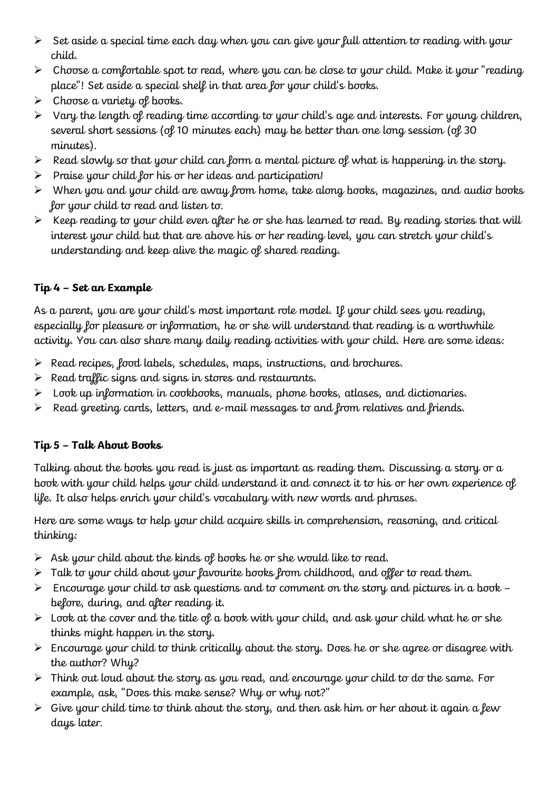- $\triangleright$  Set aside a special time each day when you can give your full attention to reading with your child.
- $\triangleright$  Choose a comfortable spot to read, where you can be close to your child. Make it your "reading place"! Set aside a special shelf in that area for your child's books.
- $\triangleright$  Choose a variety of books.
- $\triangleright$  Vary the length of reading time according to your child's age and interests. For young children, several short sessions (of 10 minutes each) may be better than one long session (of 30 minutes).
- $\triangleright$  Read slowly so that your child can form a mental picture of what is happening in the story.
- $\triangleright$  Praise your child for his or her ideas and participation!
- $\triangleright$  When you and your child are away from home, take along books, magazines, and audio books for your child to read and listen to.
- $\triangleright$  Keep reading to your child even after he or she has learned to read. By reading stories that will interest your child but that are above his or her reading level, you can stretch your child's understanding and keep alive the magic of shared reading.

# **Tip 4 – Set an Example**

As a parent, you are your child's most important role model. If your child sees you reading, especially for pleasure or information, he or she will understand that reading is a worthwhile activity. You can also share many daily reading activities with your child. Here are some ideas:

- $\triangleright$  Read recipes, food labels, schedules, maps, instructions, and brochures.
- $\triangleright$  Read traffic signs and signs in stores and restaurants.
- $\triangleright$  Look up information in cookbooks, manuals, phone books, atlases, and dictionaries.
- $\triangleright$  Read greeting cards, letters, and e-mail messages to and from relatives and friends.

# **Tip 5 – Talk About Books**

Talking about the books you read is just as important as reading them. Discussing a story or a book with your child helps your child understand it and connect it to his or her own experience of life. It also helps enrich your child's vocabulary with new words and phrases.

Here are some ways to help your child acquire skills in comprehension, reasoning, and critical thinking:

- $\triangleright$  Ask your child about the kinds of books he or she would like to read.
- $\triangleright$  Talk to your child about your favourite books from childhood, and offer to read them.
- $\triangleright$  Encourage your child to ask questions and to comment on the story and pictures in a book before, during, and after reading it.
- $\triangleright$  Look at the cover and the title of a book with your child, and ask your child what he or she thinks might happen in the story.
- $\triangleright$  Encourage your child to think critically about the story. Does he or she agree or disagree with the author? Why?
- $\triangleright$  Think out loud about the story as you read, and encourage your child to do the same. For example, ask, "Does this make sense? Why or why not?"
- $\triangleright$  Give your child time to think about the story, and then ask him or her about it again a few days later.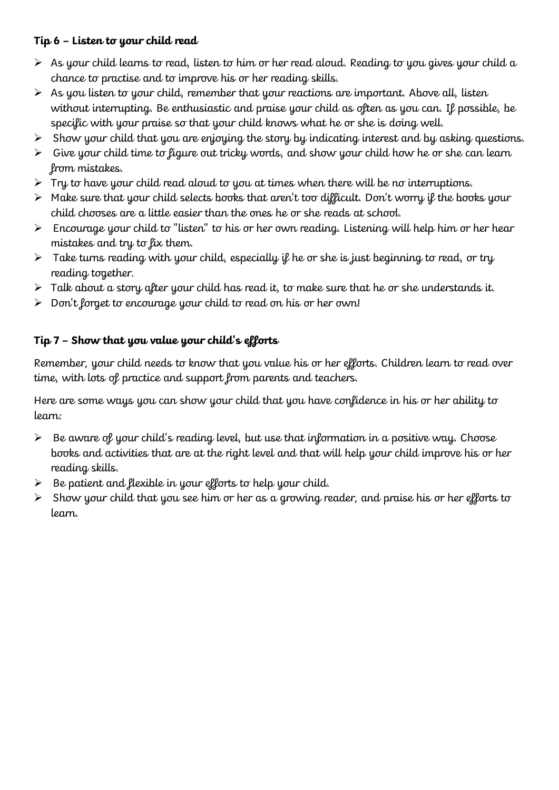## **Tip 6 – Listen to your child read**

- $\triangleright$  As your child learns to read, listen to him or her read aloud. Reading to you gives your child a chance to practise and to improve his or her reading skills.
- $\triangleright$  As you listen to your child, remember that your reactions are important. Above all, listen without interrupting. Be enthusiastic and praise your child as often as you can. If possible, be specific with your praise so that your child knows what he or she is doing well.
- $\triangleright$  Show your child that you are enjoying the story by indicating interest and by asking questions.
- $\triangleright$  Give your child time to figure out tricky words, and show your child how he or she can learn from mistakes.
- $\triangleright$  Try to have your child read aloud to you at times when there will be no interruptions.
- $\triangleright$  Make sure that your child selects books that aren't too difficult. Don't worry if the books your child chooses are a little easier than the ones he or she reads at school.
- $\triangleright$  Encourage your child to "listen" to his or her own reading. Listening will help him or her hear mistakes and try to fix them.
- $\triangleright$  Take turns reading with your child, especially if he or she is just beginning to read, or try reading together.
- $\triangleright$  Talk about a story after your child has read it, to make sure that he or she understands it.
- $\triangleright$  Don't forget to encourage your child to read on his or her own!

## **Tip 7 – Show that you value your child's efforts**

Remember, your child needs to know that you value his or her efforts. Children learn to read over time, with lots of practice and support from parents and teachers.

Here are some ways you can show your child that you have confidence in his or her ability to learn:

- $\triangleright$  Be aware of your child's reading level, but use that information in a positive way. Choose books and activities that are at the right level and that will help your child improve his or her reading skills.
- $\triangleright$  Be patient and flexible in your efforts to help your child.
- $\triangleright$  Show your child that you see him or her as a growing reader, and praise his or her efforts to learn.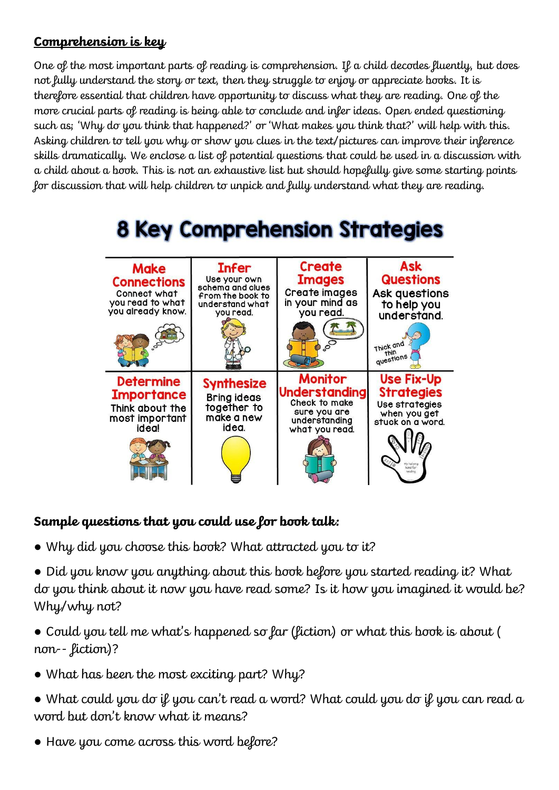# **Comprehension is key**

One of the most important parts of reading is comprehension. If a child decodes fluently, but does not fully understand the story or text, then they struggle to enjoy or appreciate books. It is therefore essential that children have opportunity to discuss what they are reading. One of the more crucial parts of reading is being able to conclude and infer ideas. Open ended questioning such as; 'Why do you think that happened?' or 'What makes you think that?' will help with this. Asking children to tell you why or show you clues in the text/pictures can improve their inference skills dramatically. We enclose a list of potential questions that could be used in a discussion with a child about a book. This is not an exhaustive list but should hopefully give some starting points for discussion that will help children to unpick and fully understand what they are reading.



# **8 Key Comprehension Strategies**

# **Sample questions that you could use for book talk:**

- Why did you choose this book? What attracted you to it?
- Did you know you anything about this book before you started reading it? What do you think about it now you have read some? Is it how you imagined it would be? Why/why not?
- Could you tell me what's happened so far (fiction) or what this book is about ( non-- fiction)?
- What has been the most exciting part? Why?
- What could you do if you can't read a word? What could you do if you can read a word but don't know what it means?
- Have you come across this word before?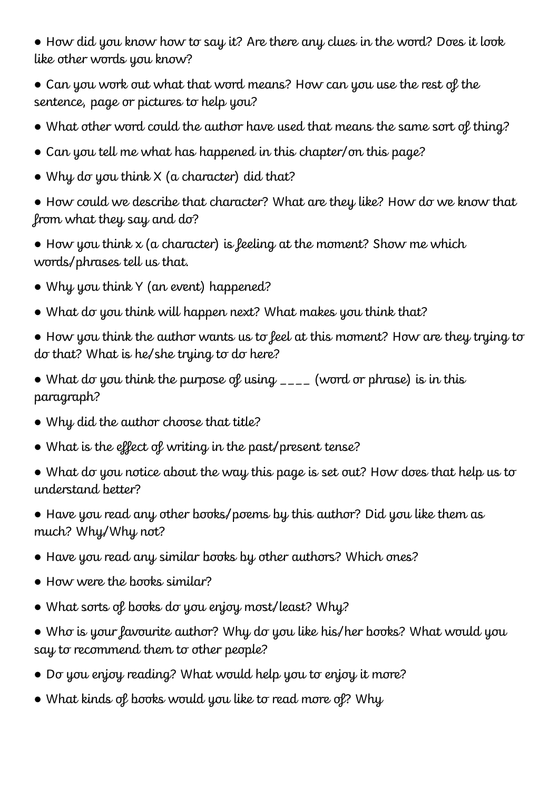● How did you know how to say it? Are there any clues in the word? Does it look like other words you know?

- Can you work out what that word means? How can you use the rest of the sentence, page or pictures to help you?
- What other word could the author have used that means the same sort of thing?
- Can you tell me what has happened in this chapter/on this page?
- Why do you think  $X$  (a character) did that?
- How could we describe that character? What are they like? How do we know that from what they say and do?
- $\bullet$  How you think x (a character) is feeling at the moment? Show me which words/phrases tell us that.
- Why you think Y (an event) happened?
- What do you think will happen next? What makes you think that?
- How you think the author wants us to feel at this moment? How are they trying to do that? What is he/she trying to do here?
- What do you think the purpose of using  $\overline{a}$  (word or phrase) is in this paragraph?
- Why did the author choose that title?
- What is the effect of writing in the past/present tense?
- What do you notice about the way this page is set out? How does that help us to understand better?
- Have you read any other books/poems by this author? Did you like them as much? Why/Why not?
- Have you read any similar books by other authors? Which ones?
- How were the books similar?
- What sorts of books do you enjoy most/least? Why?
- Who is your favourite author? Why do you like his/her books? What would you say to recommend them to other people?
- Do you enjoy reading? What would help you to enjoy it more?
- What kinds of books would you like to read more of? Why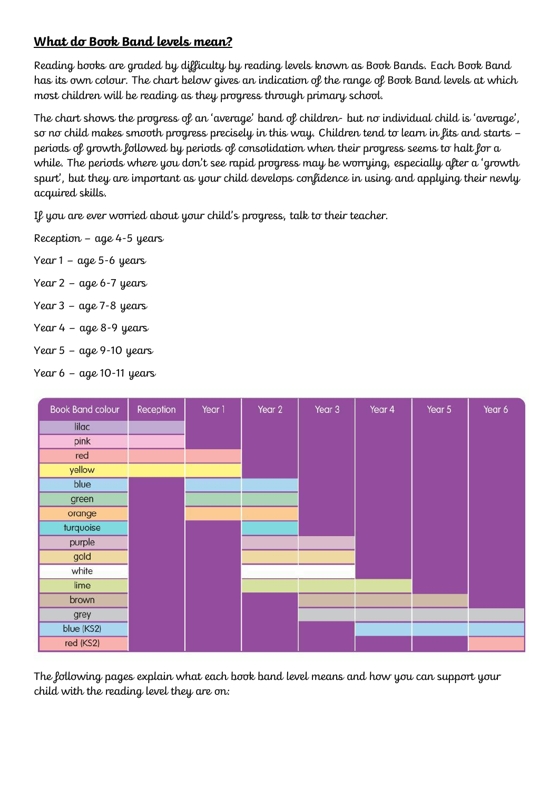# **What do Book Band levels mean?**

Reading books are graded by difficulty by reading levels known as Book Bands. Each Book Band has its own colour. The chart below gives an indication of the range of Book Band levels at which most children will be reading as they progress through primary school.

The chart shows the progress of an 'average' band of children- but no individual child is 'average', so no child makes smooth progress precisely in this way. Children tend to learn in fits and starts – periods of growth followed by periods of consolidation when their progress seems to halt for a while. The periods where you don't see rapid progress may be worrying, especially after a 'growth spurt', but they are important as your child develops confidence in using and applying their newly acquired skills.

If you are ever worried about your child's progress, talk to their teacher.

Reception – age 4-5 years

- Year 1 age 5-6 years
- Year 2 age 6-7 years
- Year 3 age 7-8 years
- Year 4 age 8-9 years
- Year 5 age 9-10 years

Year 6 – age 10-11 years

| <b>Book Band colour</b> | Reception | Year 1 | Year 2 | Year 3 | Year 4 | Year 5 | Year 6 |
|-------------------------|-----------|--------|--------|--------|--------|--------|--------|
| lilac                   |           |        |        |        |        |        |        |
| pink                    |           |        |        |        |        |        |        |
| red                     |           |        |        |        |        |        |        |
| yellow                  |           |        |        |        |        |        |        |
| blue                    |           |        |        |        |        |        |        |
| green                   |           |        |        |        |        |        |        |
| orange                  |           |        |        |        |        |        |        |
| turquoise               |           |        |        |        |        |        |        |
| purple                  |           |        |        |        |        |        |        |
| gold                    |           |        |        |        |        |        |        |
| white                   |           |        |        |        |        |        |        |
| lime                    |           |        |        |        |        |        |        |
| brown                   |           |        |        |        |        |        |        |
| grey                    |           |        |        |        |        |        |        |
| blue (KS2)              |           |        |        |        |        |        |        |
| red (KS2)               |           |        |        |        |        |        |        |

The following pages explain what each book band level means and how you can support your child with the reading level they are on: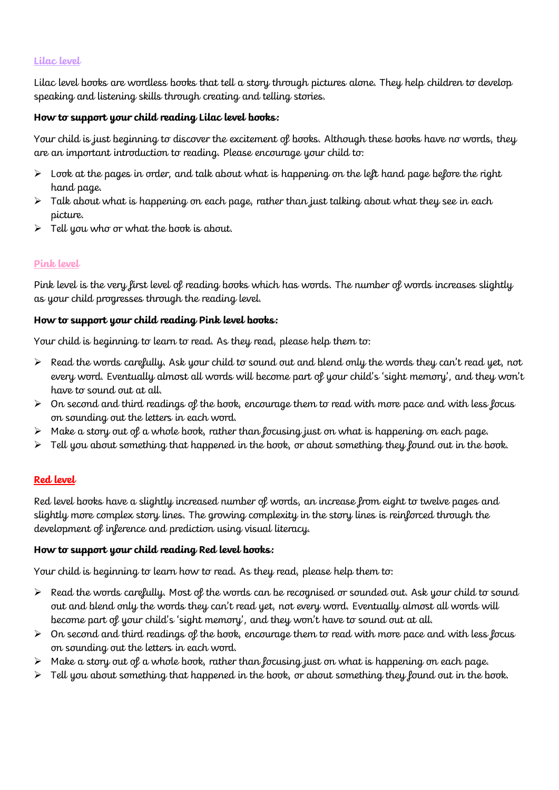## **Lilac level**

Lilac level books are wordless books that tell a story through pictures alone. They help children to develop speaking and listening skills through creating and telling stories.

#### **How to support your child reading Lilac level books:**

Your child is just beginning to discover the excitement of books. Although these books have no words, they are an important introduction to reading. Please encourage your child to:

- $\triangleright$  Look at the pages in order, and talk about what is happening on the left hand page before the right hand page.
- $\triangleright$  Talk about what is happening on each page, rather than just talking about what they see in each picture.
- Tell you who or what the book is about.

## **Pink level**

Pink level is the very first level of reading books which has words. The number of words increases slightly as your child progresses through the reading level.

#### **How to support your child reading Pink level books:**

Your child is beginning to learn to read. As they read, please help them to:

- $\triangleright$  Read the words carefully. Ask your child to sound out and blend only the words they can't read yet, not every word. Eventually almost all words will become part of your child's 'sight memory', and they won't have to sound out at all.
- $\triangleright$  On second and third readings of the book, encourage them to read with more pace and with less focus on sounding out the letters in each word.
- Make a story out of a whole book, rather than focusing just on what is happening on each page.
- Tell you about something that happened in the book, or about something they found out in the book.

#### **Red level**

Red level books have a slightly increased number of words, an increase from eight to twelve pages and slightly more complex story lines. The growing complexity in the story lines is reinforced through the development of inference and prediction using visual literacy.

#### **How to support your child reading Red level books:**

Your child is beginning to learn how to read. As they read, please help them to:

- $\triangleright$  Read the words carefully. Most of the words can be recognised or sounded out. Ask your child to sound out and blend only the words they can't read yet, not every word. Eventually almost all words will become part of your child's 'sight memory', and they won't have to sound out at all.
- $\triangleright$  On second and third readings of the book, encourage them to read with more pace and with less focus on sounding out the letters in each word.
- $\triangleright$  Make a story out of a whole book, rather than focusing just on what is happening on each page.
- $\triangleright$  Tell you about something that happened in the book, or about something they found out in the book.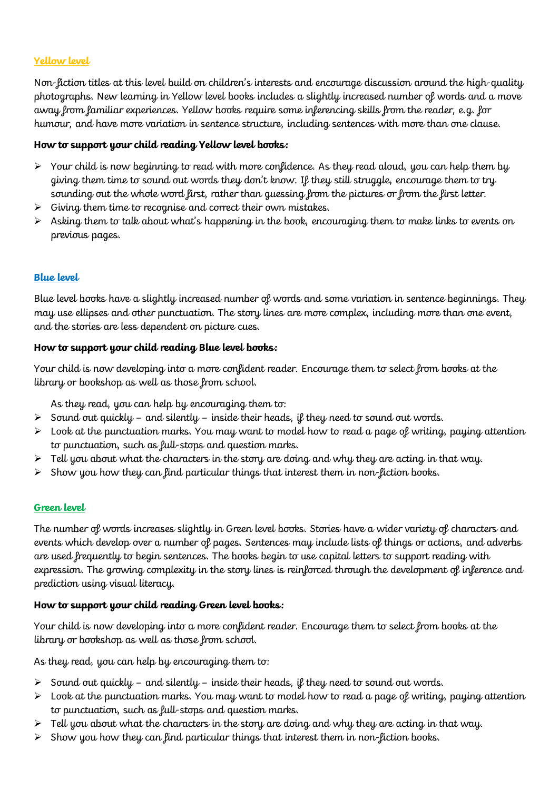## **Yellow level**

Non-fiction titles at this level build on children's interests and encourage discussion around the high-quality photographs. New learning in Yellow level books includes a slightly increased number of words and a move away from familiar experiences. Yellow books require some inferencing skills from the reader, e.g. for humour, and have more variation in sentence structure, including sentences with more than one clause.

#### **How to support your child reading Yellow level books:**

- $\triangleright$  Your child is now beginning to read with more confidence. As they read aloud, you can help them by giving them time to sound out words they don't know. If they still struggle, encourage them to try sounding out the whole word first, rather than guessing from the pictures or from the first letter.
- $\triangleright$  Giving them time to recognise and correct their own mistakes.
- $\triangleright$  Asking them to talk about what's happening in the book, encouraging them to make links to events on previous pages.

## **Blue level**

Blue level books have a slightly increased number of words and some variation in sentence beginnings. They may use ellipses and other punctuation. The story lines are more complex, including more than one event, and the stories are less dependent on picture cues.

#### **How to support your child reading Blue level books:**

Your child is now developing into a more confident reader. Encourage them to select from books at the library or bookshop as well as those from school.

As they read, you can help by encouraging them to:

- $\triangleright$  Sound out quickly and silently inside their heads, if they need to sound out words.
- $\triangleright$  Look at the punctuation marks. You may want to model how to read a page of writing, paying attention to punctuation, such as full-stops and question marks.
- $\triangleright$  Tell you about what the characters in the story are doing and why they are acting in that way.
- $\triangleright$  Show you how they can find particular things that interest them in non-fiction books.

#### **Green level**

The number of words increases slightly in Green level books. Stories have a wider variety of characters and events which develop over a number of pages. Sentences may include lists of things or actions, and adverbs are used frequently to begin sentences. The books begin to use capital letters to support reading with expression. The growing complexity in the story lines is reinforced through the development of inference and prediction using visual literacy.

#### **How to support your child reading Green level books:**

Your child is now developing into a more confident reader. Encourage them to select from books at the library or bookshop as well as those from school.

As they read, you can help by encouraging them to:

- $\triangleright$  Sound out quickly and silently inside their heads, if they need to sound out words.
- $\triangleright$  Look at the punctuation marks. You may want to model how to read a page of writing, paying attention to punctuation, such as full-stops and question marks.
- Tell you about what the characters in the story are doing and why they are acting in that way.
- $\triangleright$  Show you how they can find particular things that interest them in non-fiction books.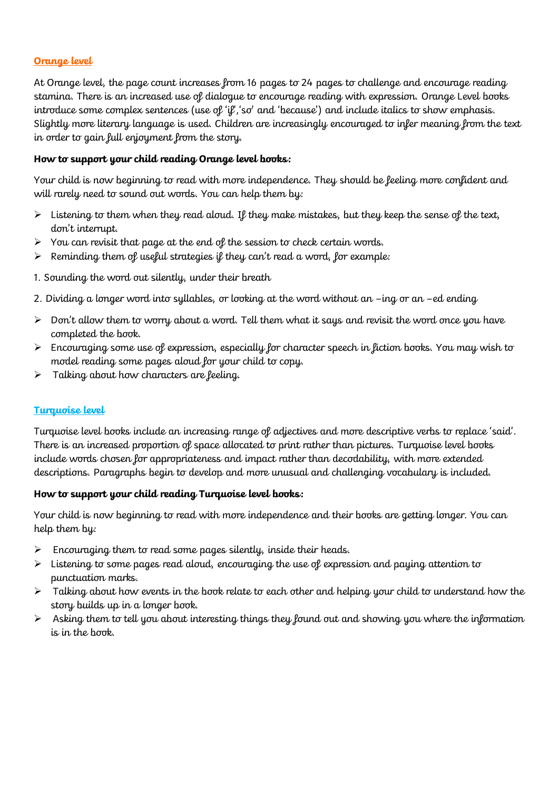## **Orange level**

At Orange level, the page count increases from 16 pages to 24 pages to challenge and encourage reading stamina. There is an increased use of dialogue to encourage reading with expression. Orange Level books introduce some complex sentences (use of 'if', 'so' and 'because') and include italics to show emphasis. Slightly more literary language is used. Children are increasingly encouraged to infer meaning from the text in order to gain full enjoyment from the story.

## **How to support your child reading Orange level books:**

Your child is now beginning to read with more independence. They should be feeling more confident and will rarely need to sound out words. You can help them by:

- $\triangleright$  Listening to them when they read aloud. If they make mistakes, but they keep the sense of the text, don't interrupt.
- $\triangleright$  You can revisit that page at the end of the session to check certain words.
- $\triangleright$  Reminding them of useful strategies if they can't read a word, for example:
- 1. Sounding the word out silently, under their breath
- 2. Dividing a longer word into syllables, or looking at the word without an –ing or an –ed ending
- $\triangleright$  Don't allow them to worry about a word. Tell them what it says and revisit the word once you have completed the book.
- $\triangleright$  Encouraging some use of expression, especially for character speech in fiction books. You may wish to model reading some pages aloud for your child to copy.
- $\triangleright$  Talking about how characters are feeling.

## **Turquoise level**

Turquoise level books include an increasing range of adjectives and more descriptive verbs to replace 'said'. There is an increased proportion of space allocated to print rather than pictures. Turquoise level books include words chosen for appropriateness and impact rather than decodability, with more extended descriptions. Paragraphs begin to develop and more unusual and challenging vocabulary is included.

#### **How to support your child reading Turquoise level books:**

Your child is now beginning to read with more independence and their books are getting longer. You can help them by:

- $\triangleright$  Encouraging them to read some pages silently, inside their heads.
- $\triangleright$  Listening to some pages read aloud, encouraging the use of expression and paying attention to punctuation marks.
- $\triangleright$  Talking about how events in the book relate to each other and helping your child to understand how the story builds up in a longer book.
- $\triangleright$  Asking them to tell you about interesting things they found out and showing you where the information is in the book.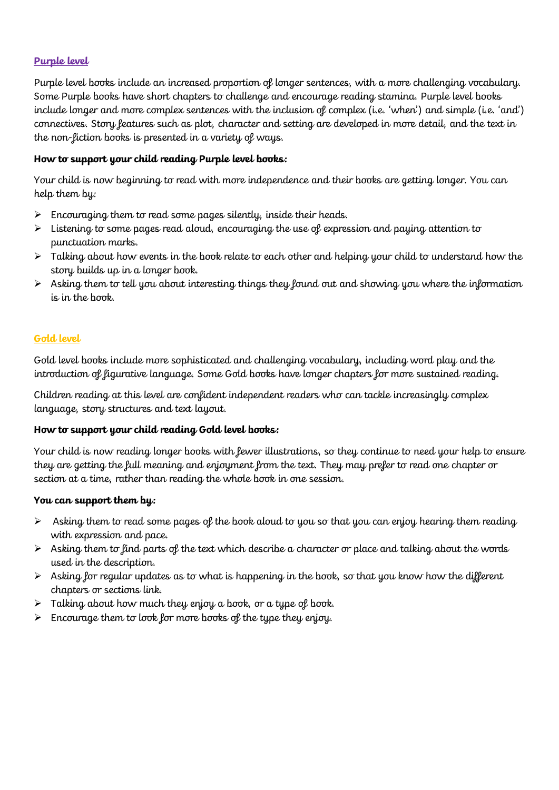## **Purple level**

Purple level books include an increased proportion of longer sentences, with a more challenging vocabulary. Some Purple books have short chapters to challenge and encourage reading stamina. Purple level books include longer and more complex sentences with the inclusion of complex (i.e. 'when') and simple (i.e. 'and') connectives. Story features such as plot, character and setting are developed in more detail, and the text in the non-fiction books is presented in a variety of ways.

## **How to support your child reading Purple level books:**

Your child is now beginning to read with more independence and their books are getting longer. You can help them by:

- $\triangleright$  Encouraging them to read some pages silently, inside their heads.
- $\triangleright$  Listening to some pages read aloud, encouraging the use of expression and paying attention to punctuation marks.
- $\triangleright$  Talking about how events in the book relate to each other and helping your child to understand how the story builds up in a longer book.
- $\triangleright$  Asking them to tell you about interesting things they found out and showing you where the information is in the book.

#### **Gold level**

Gold level books include more sophisticated and challenging vocabulary, including word play and the introduction of figurative language. Some Gold books have longer chapters for more sustained reading.

Children reading at this level are confident independent readers who can tackle increasingly complex language, story structures and text layout.

#### **How to support your child reading Gold level books:**

Your child is now reading longer books with fewer illustrations, so they continue to need your help to ensure they are getting the full meaning and enjoyment from the text. They may prefer to read one chapter or section at a time, rather than reading the whole book in one session.

#### **You can support them by:**

- $\triangleright$  Asking them to read some pages of the book aloud to you so that you can enjoy hearing them reading with expression and pace.
- $\triangleright$  Asking them to find parts of the text which describe a character or place and talking about the words used in the description.
- $\triangleright$  Asking for regular updates as to what is happening in the book, so that you know how the different chapters or sections link.
- $\triangleright$  Talking about how much they enjoy a book, or a type of book.
- $\triangleright$  Encourage them to look for more books of the type they enjoy.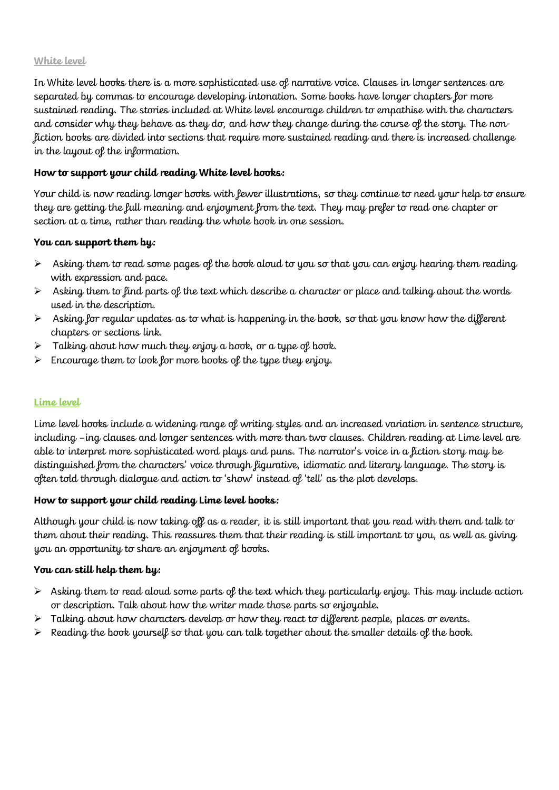#### **White level**

In White level books there is a more sophisticated use of narrative voice. Clauses in longer sentences are separated by commas to encourage developing intonation. Some books have longer chapters for more sustained reading. The stories included at White level encourage children to empathise with the characters and consider why they behave as they do, and how they change during the course of the story. The nonfiction books are divided into sections that require more sustained reading and there is increased challenge in the layout of the information.

## **How to support your child reading White level books:**

Your child is now reading longer books with fewer illustrations, so they continue to need your help to ensure they are getting the full meaning and enjoyment from the text. They may prefer to read one chapter or section at a time, rather than reading the whole book in one session.

#### **You can support them by:**

- $\triangleright$  Asking them to read some pages of the book aloud to you so that you can enjoy hearing them reading with expression and pace.
- $\triangleright$  Asking them to find parts of the text which describe a character or place and talking about the words used in the description.
- $\triangleright$  Asking for regular updates as to what is happening in the book, so that you know how the different chapters or sections link.
- $\triangleright$  Talking about how much they enjoy a book, or a type of book.
- Encourage them to look for more books of the type they enjoy.

## **Lime level**

Lime level books include a widening range of writing styles and an increased variation in sentence structure, including –ing clauses and longer sentences with more than two clauses. Children reading at Lime level are able to interpret more sophisticated word plays and puns. The narrator's voice in a fiction story may be distinguished from the characters' voice through figurative, idiomatic and literary language. The story is often told through dialogue and action to 'show' instead of 'tell' as the plot develops.

## **How to support your child reading Lime level books:**

Although your child is now taking off as a reader, it is still important that you read with them and talk to them about their reading. This reassures them that their reading is still important to you, as well as giving you an opportunity to share an enjoyment of books.

#### **You can still help them by:**

- $\triangleright$  Asking them to read aloud some parts of the text which they particularly enjoy. This may include action or description. Talk about how the writer made those parts so enjoyable.
- Talking about how characters develop or how they react to different people, places or events.
- $\triangleright$  Reading the book yourself so that you can talk together about the smaller details of the book.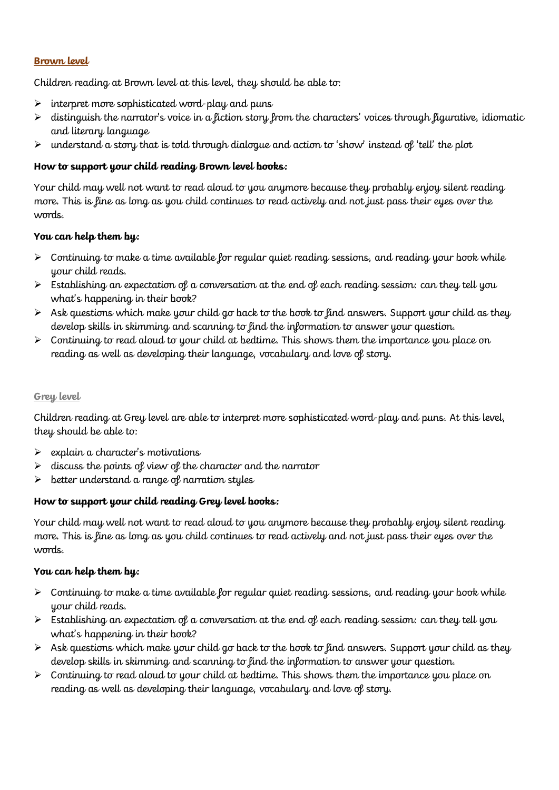## **Brown level**

Children reading at Brown level at this level, they should be able to:

- $\triangleright$  interpret more sophisticated word-play and puns
- $\triangleright$  distinguish the narrator's voice in a fiction story from the characters' voices through figurative, idiomatic and literary language
- $\triangleright$  understand a story that is told through dialogue and action to 'show' instead of 'tell' the plot

## **How to support your child reading Brown level books:**

Your child may well not want to read aloud to you anymore because they probably enjoy silent reading more. This is fine as long as you child continues to read actively and not just pass their eyes over the words.

## **You can help them by:**

- $\triangleright$  Continuing to make a time available for regular quiet reading sessions, and reading your book while your child reads.
- $\triangleright$  Establishing an expectation of a conversation at the end of each reading session: can they tell you what's happening in their book?
- $\triangleright$  Ask questions which make your child go back to the book to find answers. Support your child as they develop skills in skimming and scanning to find the information to answer your question.
- $\triangleright$  Continuing to read aloud to your child at bedtime. This shows them the importance you place on reading as well as developing their language, vocabulary and love of story.

#### **Grey level**

Children reading at Grey level are able to interpret more sophisticated word-play and puns. At this level, they should be able to:

- explain a character's motivations
- discuss the points of view of the character and the narrator
- $\triangleright$  better understand a range of narration styles

#### **How to support your child reading Grey level books:**

Your child may well not want to read aloud to you anymore because they probably enjoy silent reading more. This is fine as long as you child continues to read actively and not just pass their eyes over the words.

#### **You can help them by:**

- $\triangleright$  Continuing to make a time available for regular quiet reading sessions, and reading your book while your child reads.
- $\triangleright$  Establishing an expectation of a conversation at the end of each reading session: can they tell you what's happening in their book?
- $\triangleright$  Ask questions which make your child go back to the book to find answers. Support your child as they develop skills in skimming and scanning to find the information to answer your question.
- $\triangleright$  Continuing to read aloud to your child at bedtime. This shows them the importance you place on reading as well as developing their language, vocabulary and love of story.